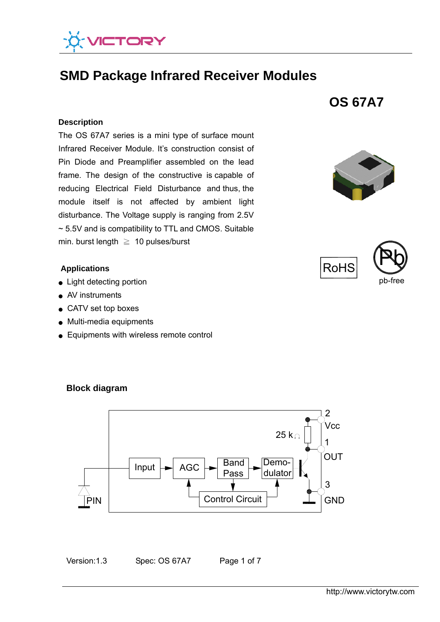

# **SMD Package Infrared Receiver Modules**

#### **Description**

 ~ 5.5V and is compatibility to TTL and CMOS. Suitable The OS 67A7 series is a mini type of surface mount Infrared Receiver Module. It's construction consist of Pin Diode and Preamplifier assembled on the lead frame. The design of the constructive is capable of reducing Electrical Field Disturbance and thus, the module itself is not affected by ambient light disturbance. The Voltage supply is ranging from 2.5V min. burst length  $\geq 10$  pulses/burst

#### **Applications**

- Light detecting portion
- AV instruments
- CATV set top boxes
- Multi-media equipments
- Equipments with wireless remote control



**OS 67A7** 





### **Block diagram**

Version:1.3 Spec: OS 67A7 Page 1 of 7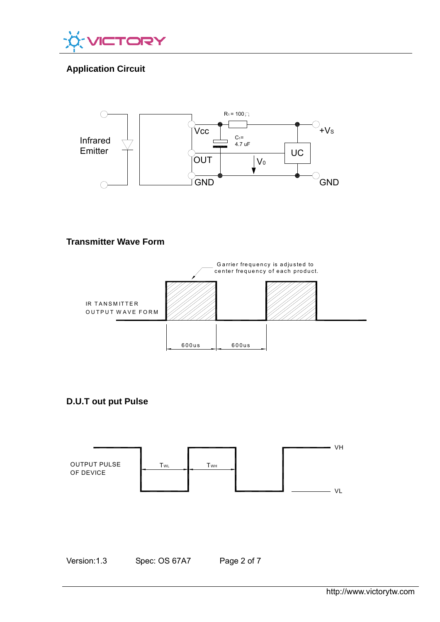

# **Application Circuit**



# **Transmitter Wave Form**



**D.U.T out put Pulse** 



Version:1.3 Spec: OS 67A7 Page 2 of 7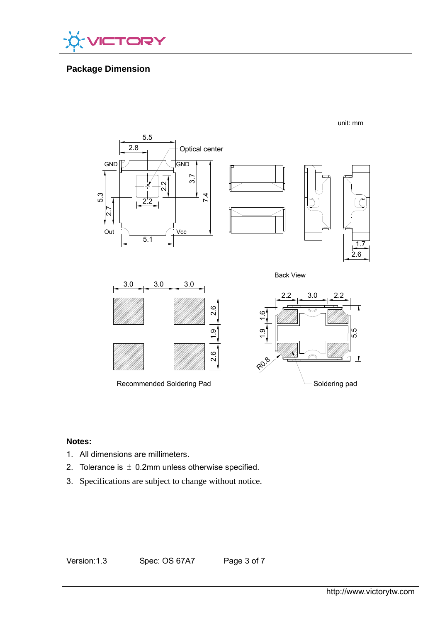

# **Package Dimension**



### **Notes:**

- 1. All dimensions are millimeters.
- 2. Tolerance is  $\pm$  0.2mm unless otherwise specified.
- 3. Specifications are subject to change without notice.

Version:1.3 Spec: OS 67A7 Page 3 of 7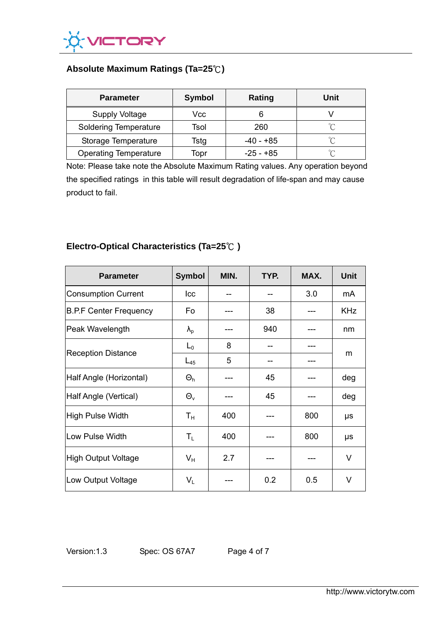

# **Absolute Maximum Ratings (Ta=25**℃**)**

| <b>Parameter</b>             | <b>Symbol</b> | Rating      | Unit   |
|------------------------------|---------------|-------------|--------|
| <b>Supply Voltage</b>        | Vcc           |             |        |
| <b>Soldering Temperature</b> | Tsol          | 260         | $\sim$ |
| Storage Temperature          | Tstg          | $-40 - +85$ | $\sim$ |
| <b>Operating Temperature</b> | Topr          | $-25 - +85$ | ∽      |

Note: Please take note the Absolute Maximum Rating values. Any operation beyond the specified ratings in this table will result degradation of life-span and may cause product to fail.

# **Electro-Optical Characteristics (Ta=25**℃ **)**

| <b>Parameter</b>              | <b>Symbol</b>           | MIN. | TYP. | MAX. | <b>Unit</b> |
|-------------------------------|-------------------------|------|------|------|-------------|
| <b>Consumption Current</b>    | Icc                     |      |      | 3.0  | mA          |
| <b>B.P.F Center Frequency</b> | Fo                      |      | 38   |      | <b>KHz</b>  |
| Peak Wavelength               | $\lambda_{\rm p}$       |      | 940  |      | nm          |
| <b>Reception Distance</b>     | $L_0$                   | 8    |      |      | m           |
|                               | $L_{45}$                | 5    |      |      |             |
| Half Angle (Horizontal)       | $\Theta_h$              |      | 45   |      | deg         |
| Half Angle (Vertical)         | $\Theta_{v}$            |      | 45   |      | deg         |
| High Pulse Width              | $T_{\rm H}$             | 400  |      | 800  | μs          |
| Low Pulse Width               | $\mathsf{T}_\mathsf{L}$ | 400  |      | 800  | μs          |
| High Output Voltage           | $V_{H}$                 | 2.7  |      |      | V           |
| Low Output Voltage            | $\mathsf{V}_\mathsf{L}$ |      | 0.2  | 0.5  | V           |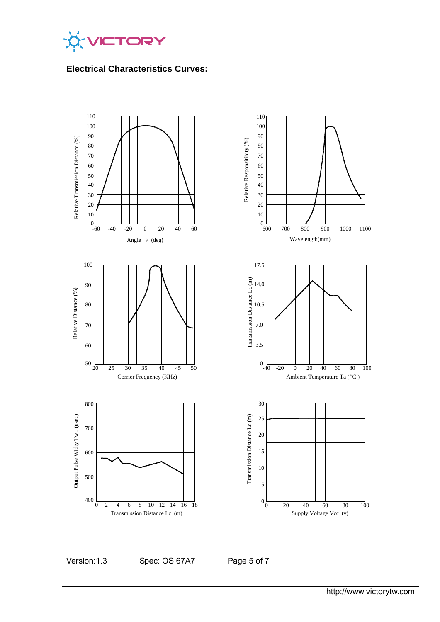

**Electrical Characteristics Curves:** 



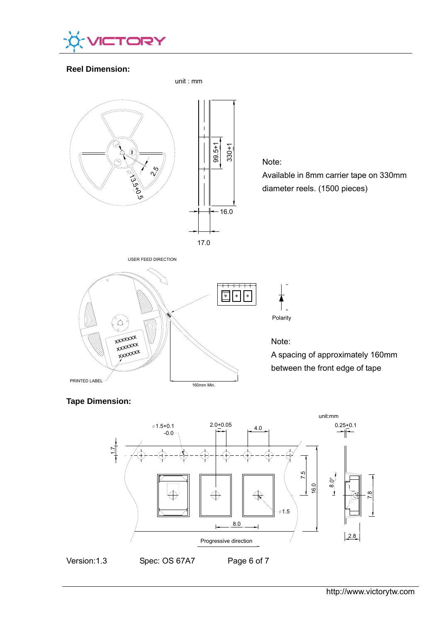

### **Reel Dimension:**



## **Tape Dimension:**